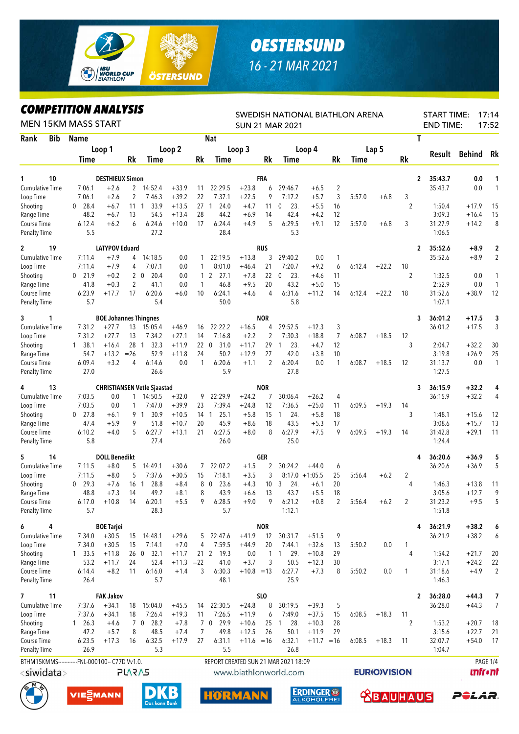

## *OESTERSUND 16 - 21 MAR 2021*

## *COMPETITION ANALYSIS*

| <b>MEN 15KM MASS START</b>         |     |                                                |                              |                   |                                    |                        |                    | SWEDISH NATIONAL BIATHLON ARENA<br><b>SUN 21 MAR 2021</b> |                        |                |                               |                                        |                      |        |                     |                      |              |                   | 17:14<br><b>START TIME:</b><br>17:52<br><b>END TIME:</b> |                      |  |  |
|------------------------------------|-----|------------------------------------------------|------------------------------|-------------------|------------------------------------|------------------------|--------------------|-----------------------------------------------------------|------------------------|----------------|-------------------------------|----------------------------------------|----------------------|--------|---------------------|----------------------|--------------|-------------------|----------------------------------------------------------|----------------------|--|--|
| Rank                               | Bib | <b>Name</b>                                    |                              |                   |                                    | <b>Nat</b>             |                    |                                                           |                        |                |                               |                                        | Τ                    |        |                     |                      |              |                   |                                                          |                      |  |  |
|                                    |     |                                                | Loop 1                       |                   |                                    | Loop <sub>2</sub>      |                    |                                                           | Loop 3                 |                |                               | Loop 4                                 |                      |        | Lap <sub>5</sub>    |                      |              | Result            | <b>Behind</b>                                            | Rk                   |  |  |
|                                    |     | <b>Time</b>                                    |                              | Rk                | Time                               |                        | Rk                 | Time                                                      |                        | Rk             | <b>Time</b>                   |                                        | Rk                   | Time   |                     | Rk                   |              |                   |                                                          |                      |  |  |
| 1                                  | 10  |                                                | <b>DESTHIEUX Simon</b>       |                   |                                    |                        |                    |                                                           |                        | <b>FRA</b>     |                               |                                        |                      |        |                     |                      | 2            | 35:43.7           | 0.0                                                      | 1                    |  |  |
| <b>Cumulative Time</b>             |     | 7:06.1                                         | $+2.6$                       |                   | 2 14:52.4                          | $+33.9$<br>$+39.2$     | 11<br>22           | 22:29.5                                                   | $+23.8$<br>$+22.5$     | 6<br>9         | 29:46.7                       | $+6.5$                                 | 2                    |        |                     |                      |              | 35:43.7           | 0.0                                                      | $\mathbf{1}$         |  |  |
| Loop Time<br>Shooting              |     | 7:06.1<br>$0$ 28.4                             | $+2.6$<br>$+6.7$             | 2<br>$11 \quad 1$ | 7:46.3<br>33.9                     | $+13.5$                | 27                 | 7:37.1<br>24.0<br>1                                       | $+4.7$                 | 11             | 7:17.2<br>23.<br>0            | $+5.7$<br>$+5.5$                       | 3<br>16              | 5:57.0 | $+6.8$              | 3<br>$\overline{2}$  |              | 1:50.4            | $+17.9$                                                  | 15                   |  |  |
| Range Time                         |     | 48.2                                           | $+6.7$                       | 13                | 54.5                               | $+13.4$                | 28                 | 44.2                                                      | $+6.9$                 | 14             | 42.4                          | $+4.2$                                 | 12                   |        |                     |                      |              | 3:09.3            | $+16.4$                                                  | 15                   |  |  |
| Course Time                        |     | 6:12.4                                         | $+6.2$                       | 6                 | 6:24.6                             | $+10.0$                | 17                 | 6:24.4                                                    | $+4.9$                 | 5              | 6:29.5                        | $+9.1$                                 | 12                   | 5:57.0 | $+6.8$              | 3                    |              | 31:27.9           | $+14.2$                                                  | 8                    |  |  |
| <b>Penalty Time</b>                |     | 5.5                                            |                              |                   | 27.2                               |                        |                    | 28.4                                                      |                        |                | 5.3                           |                                        |                      |        |                     |                      |              | 1:06.5            |                                                          |                      |  |  |
| 2                                  | 19  |                                                | <b>LATYPOV Eduard</b>        |                   |                                    |                        |                    |                                                           |                        | <b>RUS</b>     |                               |                                        |                      |        |                     |                      | $\mathbf{2}$ | 35:52.6           | $+8.9$                                                   | $\overline{2}$       |  |  |
| Cumulative Time                    |     | 7:11.4                                         | $+7.9$                       | 4                 | 14:18.5                            | 0.0                    | 1                  | 22:19.5                                                   | $+13.8$                | 3              | 29:40.2                       | 0.0                                    | 1                    |        |                     |                      |              | 35:52.6           | $+8.9$                                                   | $\overline{2}$       |  |  |
| Loop Time<br>Shooting              |     | 7:11.4<br>$0$ 21.9                             | $+7.9$<br>$+0.2$             | 4                 | 7:07.1<br>$2\quad 0$<br>20.4       | 0.0<br>0.0             | $\mathbf{1}$       | 8:01.0<br>27.1<br>1 2                                     | $+46.4$<br>$+7.8$      | 21<br>22       | 7:20.7<br>23.<br>$\mathbf 0$  | $+9.2$<br>$+4.6$                       | 6<br>11              | 6:12.4 | $+22.2$             | 18<br>$\overline{2}$ |              | 1:32.5            | 0.0                                                      | 1                    |  |  |
| Range Time                         |     | 41.8                                           | $+0.3$                       | 2                 | 41.1                               | 0.0                    | 1                  | 46.8                                                      | $+9.5$                 | 20             | 43.2                          | $+5.0$                                 | 15                   |        |                     |                      |              | 2:52.9            | 0.0                                                      | $\mathbf{1}$         |  |  |
| Course Time                        |     | 6:23.9                                         | $+17.7$                      | 17                | 6:20.6                             | $+6.0$                 | 10                 | 6:24.1                                                    | $+4.6$                 | 4              | 6:31.6                        | $+11.2$                                | 14                   | 6:12.4 | $+22.2$             | 18                   |              | 31:52.6           | $+38.9$                                                  | 12                   |  |  |
| <b>Penalty Time</b>                |     | 5.7                                            |                              |                   | 5.4                                |                        |                    | 50.0                                                      |                        |                | 5.8                           |                                        |                      |        |                     |                      |              | 1:07.1            |                                                          |                      |  |  |
| 3                                  | 1   |                                                | <b>BOE Johannes Thingnes</b> |                   |                                    |                        |                    |                                                           |                        | <b>NOR</b>     |                               |                                        |                      |        |                     |                      | 3            | 36:01.2           | $+17.5$                                                  | 3                    |  |  |
| Cumulative Time                    |     | 7:31.2                                         | $+27.7$                      |                   | 13 15:05.4                         | $+46.9$                | 16                 | 22:22.2                                                   | $+16.5$                | 4              | 29:52.5                       | $+12.3$                                | 3                    |        |                     |                      |              | 36:01.2           | $+17.5$                                                  | 3                    |  |  |
| Loop Time                          |     | 7:31.2                                         | $+27.7$                      | 13                | 7:34.2                             | $+27.1$                | 14                 | 7:16.8                                                    | $+2.2$                 | $\overline{2}$ | 7:30.3                        | $+18.8$                                | $\overline{7}$       | 6:08.7 | $+18.5$             | 12                   |              |                   |                                                          |                      |  |  |
| Shooting<br>Range Time             |     | 1, 38.1<br>54.7                                | $+16.4$<br>$+13.2$           | $=26$             | 32.3<br>28 1<br>52.9               | $+11.9$<br>$+11.8$     | 22 0<br>24         | 31.0<br>50.2                                              | $+11.7$<br>$+12.9$     | 29<br>27       | 23.<br>1<br>42.0              | $+4.7$<br>$+3.8$                       | 12<br>10             |        |                     | 3                    |              | 2:04.7<br>3:19.8  | $+32.2$<br>$+26.9$                                       | 30<br>25             |  |  |
| Course Time                        |     | 6:09.4                                         | $+3.2$                       | 4                 | 6:14.6                             | 0.0                    | 1                  | 6:20.6                                                    | $+1.1$                 | $\overline{2}$ | 6:20.4                        | 0.0                                    | 1                    | 6:08.7 | $+18.5$             | 12                   |              | 31:13.7           | 0.0                                                      | $\mathbf{1}$         |  |  |
| <b>Penalty Time</b>                |     | 27.0                                           |                              |                   | 26.6                               |                        |                    | 5.9                                                       |                        |                | 27.8                          |                                        |                      |        |                     |                      |              | 1:27.5            |                                                          |                      |  |  |
| 4                                  | 13  |                                                |                              |                   | <b>CHRISTIANSEN Vetle Sjaastad</b> |                        |                    |                                                           |                        | <b>NOR</b>     |                               |                                        |                      |        |                     |                      | 3            | 36:15.9           | $+32.2$                                                  | 4                    |  |  |
| Cumulative Time                    |     | 7:03.5                                         | 0.0                          | $\mathbf{1}$      | 14:50.5                            | $+32.0$                | 9                  | 22:29.9                                                   | $+24.2$                |                | 30:06.4                       | $+26.2$                                | 4                    |        |                     |                      |              | 36:15.9           | $+32.2$                                                  | 4                    |  |  |
| Loop Time                          |     | 7:03.5                                         | 0.0                          | 1                 | 7:47.0                             | $+39.9$                | 23                 | 7:39.4                                                    | $+24.8$                | 12             | 7:36.5                        | $+25.0$                                | 11                   | 6:09.5 | $+19.3$             | 14                   |              |                   |                                                          |                      |  |  |
| Shooting<br>Range Time             |     | $0$ 27.8<br>47.4                               | $+6.1$<br>$+5.9$             | 9                 | 9 1<br>30.9<br>51.8                | $+10.5$<br>$+10.7$     | $14 \quad 1$<br>20 | 25.1<br>45.9                                              | $+5.8$<br>$+8.6$       | 15<br>18       | 24.<br>$\overline{1}$<br>43.5 | $+5.8$<br>$+5.3$                       | 18<br>17             |        |                     | 3                    |              | 1:48.1<br>3:08.6  | $+15.6$<br>$+15.7$                                       | 12<br>13             |  |  |
| Course Time                        |     | 6:10.2                                         | $+4.0$                       | 5                 | 6:27.7                             | $+13.1$                | 21                 | 6:27.5                                                    | $+8.0$                 | 8              | 6:27.9                        | $+7.5$                                 | 9                    | 6:09.5 | $+19.3$             | 14                   |              | 31:42.8           | $+29.1$                                                  | 11                   |  |  |
| Penalty Time                       |     | 5.8                                            |                              |                   | 27.4                               |                        |                    | 26.0                                                      |                        |                | 25.0                          |                                        |                      |        |                     |                      |              | 1:24.4            |                                                          |                      |  |  |
| 5                                  | 14  |                                                | <b>DOLL Benedikt</b>         |                   |                                    |                        |                    |                                                           |                        | GER            |                               |                                        |                      |        |                     |                      | 4            | 36:20.6           | $+36.9$                                                  | 5                    |  |  |
| Cumulative Time                    |     | 7:11.5                                         | $+8.0$                       | 5                 | 14:49.1                            | $+30.6$                | 7                  | 22:07.2                                                   | $+1.5$                 | 2              | 30:24.2                       | $+44.0$                                | 6                    |        |                     |                      |              | 36:20.6           | $+36.9$                                                  | 5                    |  |  |
| Loop Time                          |     | 7:11.5                                         | $+8.0$                       | 5                 | 7:37.6                             | $+30.5$                | 15                 | 7:18.1                                                    | $+3.5$                 | 3              |                               | $8:17.0 + 1:05.5$                      | 25                   | 5:56.4 | $+6.2$              | 2                    |              |                   |                                                          |                      |  |  |
| Shooting                           |     | $0$ 29.3                                       | +7.6                         | 14                | 28.8<br>16 1<br>49.2               | $+8.4$                 | 8<br>8             | 23.6<br>0<br>43.9                                         | $+4.3$                 | 10             | 3<br>24.                      | $+6.1$                                 | 20                   |        |                     | 4                    |              | 1:46.3            | $+13.8$                                                  | 11<br>9              |  |  |
| Range Time<br>Course Time          |     | 48.8<br>6:17.0                                 | $+7.3$<br>$+10.8$            | 14                | 6:201                              | $+8.1$<br>$+5.5$       | 0                  | 6:28.5                                                    | $+6.6$<br>$+9.0$       | 13<br>9        | 43.7<br>6:21.2                | $+5.5$<br>$+0.8$                       | 18<br>$\overline{2}$ | 5:56.4 | $+6.2$              | 2                    |              | 3:05.6<br>31:23.2 | $+12.7$<br>$+9.5$                                        | 5                    |  |  |
| <b>Penalty Time</b>                |     | 5.7                                            |                              |                   | 28.3                               |                        |                    | 5.7                                                       |                        |                | 1:12.1                        |                                        |                      |        |                     |                      |              | 1:51.8            |                                                          |                      |  |  |
| 6                                  | 4   |                                                | <b>BOE Tarjei</b>            |                   |                                    |                        |                    |                                                           |                        | <b>NOR</b>     |                               |                                        |                      |        |                     |                      | 4            | 36:21.9           | $+38.2$                                                  | 6                    |  |  |
| Cumulative Time                    |     | 7:34.0                                         | $+30.5$                      | 15                | 14:48.1                            | $+29.6$                | 5                  | 22:47.6                                                   | $+41.9$                | 12             | 30:31.7                       | $+51.5$                                | 9                    |        |                     |                      |              | 36:21.9           | $+38.2$                                                  | 6                    |  |  |
| Loop Time                          |     | 7:34.0                                         | $+30.5$                      | 15                | 7:14.1                             | $+7.0$                 | 4                  | 7:59.5                                                    | $+44.9$                | 20             | 7:44.1                        | $+32.6$                                | 13                   | 5:50.2 | 0.0                 | 1                    |              |                   |                                                          |                      |  |  |
| Shooting                           |     | 1 33.5                                         | $+11.8$                      | 26 <sub>0</sub>   | 32.1                               | $+11.7$                | 21 <sub>2</sub>    | 19.3                                                      | 0.0                    | 1              | 29.<br>$\mathbf{1}$           | $+10.8$                                | 29                   |        |                     | 4                    |              | 1:54.2            | $+21.7$                                                  | 20                   |  |  |
| Range Time<br>Course Time          |     | 53.2<br>6:14.4                                 | $+11.7$<br>$+8.2$            | 24<br>11          | 52.4<br>6:16.0                     | $+11.3 = 22$<br>$+1.4$ | 3                  | 41.0<br>6:30.3                                            | $+3.7$<br>$+10.8 = 13$ | 3              | 50.5<br>6:27.7                | $+12.3$<br>$+7.3$                      | 30<br>8              | 5:50.2 | 0.0                 | 1                    |              | 3:17.1<br>31:18.6 | $+24.2$<br>$+4.9$                                        | 22<br>$\overline{2}$ |  |  |
| <b>Penalty Time</b>                |     | 26.4                                           |                              |                   | 5.7                                |                        |                    | 48.1                                                      |                        |                | 25.9                          |                                        |                      |        |                     |                      |              | 1:46.3            |                                                          |                      |  |  |
| 7                                  | 11  |                                                | <b>FAK Jakov</b>             |                   |                                    |                        |                    |                                                           |                        | <b>SLO</b>     |                               |                                        |                      |        |                     |                      | 2            | 36:28.0           | $+44.3$                                                  | 7                    |  |  |
| Cumulative Time                    |     | 7:37.6                                         | $+34.1$                      |                   | 18 15:04.0                         | $+45.5$                | 14                 | 22:30.5                                                   | $+24.8$                | 8              | 30:19.5                       | $+39.3$                                | 5                    |        |                     |                      |              | 36:28.0           | $+44.3$                                                  | $\overline{7}$       |  |  |
| Loop Time                          |     | 7:37.6                                         | $+34.1$                      | 18                | 7:26.4                             | $+19.3$                | 11                 | 7:26.5                                                    | $+11.9$                | 6              | 7:49.0                        | $+37.5$                                | 15                   | 6:08.5 | $+18.3$             | 11                   |              |                   |                                                          |                      |  |  |
| Shooting                           |     | 126.3                                          | $+4.6$                       |                   | 7 0<br>28.2                        | $+7.8$                 |                    | 7 0<br>29.9                                               | $+10.6$                | 25             | 28.<br>1                      | $+10.3$                                | 28                   |        |                     | $\overline{2}$       |              | 1:53.2            | $+20.7$                                                  | 18                   |  |  |
| Range Time                         |     | 47.2<br>6:23.5                                 | $+5.7$<br>$+17.3$            | 8<br>16           | 48.5<br>6:32.5                     | $+7.4$<br>$+17.9$      | 7<br>27            | 49.8<br>6:31.1                                            | $+12.5$                | 26             | 50.1<br>6:32.1                | $+11.9$<br>$+11.7 = 16$                | 29                   | 6:08.5 | $+18.3$             |                      |              | 3:15.6<br>32:07.7 | $+22.7$                                                  | 21<br>17             |  |  |
| Course Time<br><b>Penalty Time</b> |     | 26.9                                           |                              |                   | 5.3                                |                        |                    | 5.5                                                       | $+11.6 = 16$           |                | 26.8                          |                                        |                      |        |                     | 11                   |              | 1:04.7            | $+54.0$                                                  |                      |  |  |
|                                    |     | BTHM15KMMS------------FNL-000100-- C77D Vv1.0. |                              |                   |                                    |                        |                    | REPORT CREATED SUN 21 MAR 2021 18:09                      |                        |                |                               |                                        |                      |        |                     |                      |              |                   |                                                          | PAGE 1/4             |  |  |
| <siwidata></siwidata>              |     |                                                |                              | <b>PLARAS</b>     |                                    |                        |                    | www.biathlonworld.com                                     |                        |                |                               |                                        |                      |        | <b>EURIO)VISION</b> |                      |              |                   |                                                          | <b>unfr</b> •nt      |  |  |
|                                    |     | VIESMANN<br>Das kann Bank                      |                              |                   |                                    |                        |                    | <b>HORMANN</b>                                            |                        |                |                               | <b>ERDINGER®</b><br><b>ALKOHOLFREI</b> | <b>ABAUHAUS</b>      |        |                     |                      |              | PêlaR.            |                                                          |                      |  |  |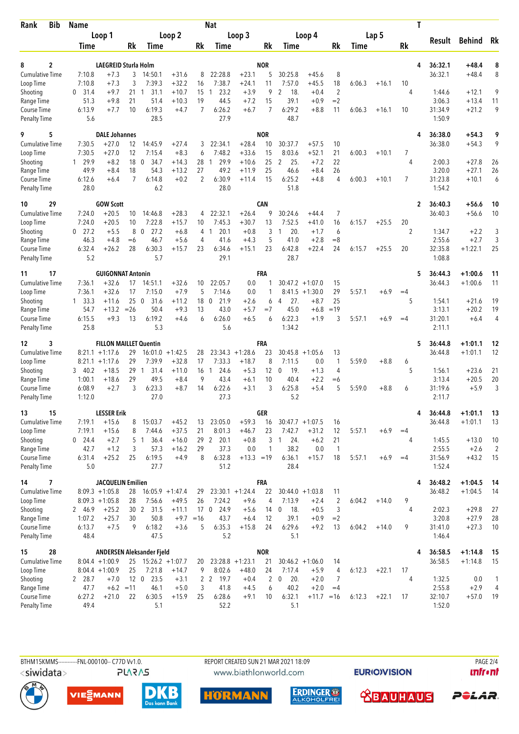| <b>Bib</b><br>Rank                 | <b>Name</b>       |                               |                    | <b>Nat</b>                |                    |                |                              |                    |                 |                         |                    |                        | T      |         |           |                    |                    |                |  |  |
|------------------------------------|-------------------|-------------------------------|--------------------|---------------------------|--------------------|----------------|------------------------------|--------------------|-----------------|-------------------------|--------------------|------------------------|--------|---------|-----------|--------------------|--------------------|----------------|--|--|
|                                    |                   |                               | Loop 1             |                           | Loop 2             |                |                              |                    | Loop 3          |                         | Loop 4             |                        |        | Lap 5   |           |                    |                    |                |  |  |
|                                    | Time              |                               | Rk                 | Time                      |                    | Rk             | Time                         |                    | Rk              | Time                    |                    | Rk                     | Time   |         | <b>Rk</b> | Result             | <b>Behind</b>      | Rk             |  |  |
|                                    |                   |                               |                    |                           |                    |                |                              |                    |                 |                         |                    |                        |        |         |           |                    |                    |                |  |  |
| 2<br>8                             |                   | <b>LAEGREID Sturla Holm</b>   |                    |                           |                    |                |                              |                    | <b>NOR</b>      |                         |                    |                        |        |         | 4         | 36:32.1            | $+48.4$            | 8              |  |  |
| <b>Cumulative Time</b>             | 7:10.8            | $+7.3$                        | 3                  | 14:50.1                   | $+31.6$            | 8              | 22:28.8                      | $+23.1$            | 5               | 30:25.8                 | $+45.6$            | 8                      |        |         |           | 36:32.1            | $+48.4$            | 8              |  |  |
| Loop Time                          | 7:10.8            | $+7.3$                        | 3                  | 7:39.3                    | $+32.2$            | 16             | 7:38.7                       | $+24.1$            | 11              | 7:57.0                  | $+45.5$            | 18                     | 6:06.3 | $+16.1$ | 10        |                    |                    |                |  |  |
| Shooting                           | 31.4<br>0<br>51.3 | $+9.7$<br>$+9.8$              | $21 \quad 1$<br>21 | 31.1<br>51.4              | $+10.7$<br>$+10.3$ | 15<br>19       | 23.2<br>$\mathbf{1}$<br>44.5 | $+3.9$<br>$+7.2$   | 9<br>15         | 18.<br>2<br>39.1        | $+0.4$<br>$+0.9$   | $\overline{2}$<br>$=2$ |        |         | 4         | 1:44.6<br>3:06.3   | $+12.1$            | 9<br>11        |  |  |
| Range Time<br>Course Time          | 6:13.9            | $+7.7$                        | 10                 | 6:19.3                    | $+4.7$             | $\overline{7}$ | 6:26.2                       | $+6.7$             | 7               | 6:29.2                  | $+8.8$             | 11                     | 6:06.3 | $+16.1$ | 10        | 31:34.9            | $+13.4$<br>$+21.2$ | 9              |  |  |
| <b>Penalty Time</b>                | 5.6               |                               |                    | 28.5                      |                    |                | 27.9                         |                    |                 | 48.7                    |                    |                        |        |         |           | 1:50.9             |                    |                |  |  |
| 5<br>9                             |                   | <b>DALE Johannes</b>          |                    |                           |                    |                |                              |                    | <b>NOR</b>      |                         |                    |                        |        |         | 4         | 36:38.0            | $+54.3$            | 9              |  |  |
| <b>Cumulative Time</b>             | 7:30.5            | $+27.0$                       | 12                 | 14:45.9                   | $+27.4$            | 3              | 22:34.1                      | $+28.4$            | 10              | 30:37.7                 | $+57.5$            | 10                     |        |         |           | 36:38.0            | $+54.3$            | 9              |  |  |
| Loop Time                          | 7:30.5            | $+27.0$                       | 12                 | 7:15.4                    | $+8.3$             | 6              | 7:48.2                       | $+33.6$            | 15              | 8:03.6                  | $+52.1$            | 21                     | 6:00.3 | $+10.1$ | 7         |                    |                    |                |  |  |
| Shooting                           | 1 29.9            | $+8.2$                        | 18                 | $\mathbf 0$<br>34.7       | $+14.3$            | 28             | 29.9<br>$\mathbf{1}$         | $+10.6$            | 25              | 2<br>25.                | $+7.2$             | 22                     |        |         | 4         | 2:00.3             | $+27.8$            | 26             |  |  |
| Range Time                         | 49.9              | $+8.4$                        | 18                 | 54.3                      | $+13.2$            | 27             | 49.2                         | $+11.9$            | 25              | 46.6                    | $+8.4$             | 26                     |        |         |           | 3:20.0             | $+27.1$            | 26             |  |  |
| Course Time                        | 6:12.6            | $+6.4$                        | 7                  | 6:14.8                    | $+0.2$             | $\overline{2}$ | 6:30.9                       | $+11.4$            | 15              | 6:25.2                  | $+4.8$             | 4                      | 6:00.3 | $+10.1$ | 7         | 31:23.8            | $+10.1$            | 6              |  |  |
| <b>Penalty Time</b>                | 28.0              |                               |                    | 6.2                       |                    |                | 28.0                         |                    |                 | 51.8                    |                    |                        |        |         |           | 1:54.2             |                    |                |  |  |
| 29<br>10<br><b>Cumulative Time</b> | 7:24.0            | <b>GOW Scott</b><br>$+20.5$   | 10                 | 14:46.8                   | $+28.3$            | 4              | 22:32.1                      | $+26.4$            | <b>CAN</b><br>9 | 30:24.6                 | $+44.4$            | 7                      |        |         | 2         | 36:40.3<br>36:40.3 | $+56.6$<br>$+56.6$ | 10<br>10       |  |  |
| Loop Time                          | 7:24.0            | $+20.5$                       | 10                 | 7:22.8                    | $+15.7$            | 10             | 7:45.3                       | $+30.7$            | 13              | 7:52.5                  | $+41.0$            | 16                     | 6:15.7 | $+25.5$ | 20        |                    |                    |                |  |  |
| Shooting                           | $0$ 27.2          | $+5.5$                        | 8                  | 27.2<br>$\Omega$          | $+6.8$             | 4              | 20.1<br>$\mathbf{1}$         | $+0.8$             | 3               | 20.<br>$\mathbf{1}$     | $+1.7$             | 6                      |        |         | 2         | 1:34.7             | $+2.2$             | 3              |  |  |
| Range Time                         | 46.3              | $+4.8$                        | $=6$               | 46.7                      | $+5.6$             | 4              | 41.6                         | $+4.3$             | 5               | 41.0                    | $+2.8$             | $=8$                   |        |         |           | 2:55.6             | $+2.7$             | 3              |  |  |
| Course Time                        | 6:32.4            | $+26.2$                       | 28                 | 6:30.3                    | $+15.7$            | 23             | 6:34.6                       | $+15.1$            | 23              | 6:42.8                  | $+22.4$            | 24                     | 6:15.7 | $+25.5$ | 20        | 32:35.8            | $+1:22.1$          | 25             |  |  |
| <b>Penalty Time</b>                | 5.2               |                               |                    | 5.7                       |                    |                | 29.1                         |                    |                 | 28.7                    |                    |                        |        |         |           | 1:08.8             |                    |                |  |  |
| 17<br>11                           |                   | <b>GUIGONNAT Antonin</b>      |                    |                           |                    |                |                              |                    | FRA             |                         |                    |                        |        |         | 5         | 36:44.3            | $+1:00.6$          | 11             |  |  |
| <b>Cumulative Time</b>             | 7:36.1            | $+32.6$                       | 17                 | 14:51.1                   | $+32.6$            | 10             | 22:05.7                      | 0.0                | 1               |                         | $30:47.2 +1:07.0$  | 15                     |        |         |           | 36:44.3            | $+1:00.6$          | 11             |  |  |
| Loop Time                          | 7:36.1            | $+32.6$                       | 17                 | 7:15.0                    | $+7.9$             | 5              | 7:14.6                       | 0.0                | 1               |                         | $8:41.5 +1:30.0$   | 29                     | 5:57.1 | $+6.9$  | $=4$      |                    |                    |                |  |  |
| Shooting                           | $1 \quad 33.3$    | $+11.6$                       | 25                 | $\overline{0}$<br>31.6    | $+11.2$            | 18             | 21.9<br>0                    | $+2.6$             | 6               | 27.<br>4                | $+8.7$             | 25                     |        |         | 5         | 1:54.1             | $+21.6$            | 19             |  |  |
| Range Time                         | 54.7              | $+13.2$                       | $=26$              | 50.4                      | $+9.3$             | 13             | 43.0                         | $+5.7$             | $=7$            | 45.0                    | $+6.8$             | $=19$                  |        |         |           | 3:13.1             | $+20.2$            | 19             |  |  |
| Course Time                        | 6:15.5            | $+9.3$                        | 13                 | 6:19.2<br>5.3             | $+4.6$             | 6              | 6:26.0                       | $+6.5$             | 6               | 6:22.3<br>1:34.2        | $+1.9$             | 3                      | 5:57.1 | $+6.9$  | $=4$      | 31:20.1            | $+6.4$             | $\overline{4}$ |  |  |
| <b>Penalty Time</b>                | 25.8              |                               |                    |                           |                    |                | 5.6                          |                    |                 |                         |                    |                        |        |         |           | 2:11.1             |                    |                |  |  |
| 3<br>12                            |                   | <b>FILLON MAILLET Quentin</b> |                    |                           |                    |                |                              |                    | FRA             |                         |                    |                        |        |         | 5         | 36:44.8            | $+1:01.1$          | 12             |  |  |
| <b>Cumulative Time</b>             |                   | $8:21.1 + 1:17.6$             | 29                 |                           | $16:01.0 + 1:42.5$ | 28             | 23:34.3                      | $+1:28.6$          | 23              |                         | $30:45.8 +1:05.6$  | 13                     |        |         |           | 36:44.8            | $+1:01.1$          | 12             |  |  |
| Loop Time                          | 8:21.1            | $+1:17.6$                     | 29                 | 7:39.9                    | $+32.8$            | 17             | 7:33.3                       | $+18.7$            | 8               | 7:11.5                  | 0.0                | 1                      | 5:59.0 | $+8.8$  | 6         |                    |                    |                |  |  |
| Shooting                           | 340.2             | $+18.5$                       | 29                 | 31.4<br>$\overline{1}$    | $+11.0$            | 16             | 24.6<br>$\mathbf{1}$         | $+5.3$             | 12              | $\mathbf 0$<br>19.      | $+1.3$             | 4                      |        |         | 5         | 1:56.1             | $+23.6$            | 21             |  |  |
| Range Time                         | 1:00.1            | $+18.6$<br>$+2.7$             | 29<br>3            | 49.5<br>6:23.3            | $+8.4$<br>$+8.7$   | 9<br>14        | 43.4<br>6:22.6               | $+6.1$<br>$+3.1$   | 10<br>3         | 40.4<br>6:25.8          | $+2.2$<br>$+5.4$   | $=6$<br>5              | 5:59.0 |         |           | 3:13.4<br>31:19.6  | $+20.5$<br>$+5.9$  | 20<br>3        |  |  |
| Course Time<br><b>Penalty Time</b> | 6:08.9<br>1:12.0  |                               |                    | 27.0                      |                    |                | 27.3                         |                    |                 | 5.2                     |                    |                        |        | $+8.8$  | 6         | 2:11.7             |                    |                |  |  |
| 15<br>13                           |                   | <b>LESSER Erik</b>            |                    |                           |                    |                |                              |                    | <b>GER</b>      |                         |                    |                        |        |         | 4         | 36:44.8            | $+1:01.1$          | 13             |  |  |
| Cumulative Time                    | 7:19.1            | $+15.6$                       | 8                  | 15:03.7                   | $+45.2$            | 13             | 23:05.0                      | $+59.3$            | 16              |                         | $30:47.7 +1:07.5$  | 16                     |        |         |           | 36:44.8            | $+1:01.1$          | 13             |  |  |
| Loop Time                          | 7:19.1            | $+15.6$                       | 8                  | 7:44.6                    | $+37.5$            | 21             | 8:01.3                       | $+46.7$            | 23              | 7:42.7                  | $+31.2$            | 12                     | 5:57.1 | $+6.9$  | $=4$      |                    |                    |                |  |  |
| Shooting                           | $0$ 24.4          | $+2.7$                        |                    | 5 <sub>1</sub><br>36.4    | $+16.0$            |                | 20.1<br>29 2                 | $+0.8$             | 3               | 24.<br>-1               | $+6.2$             | 21                     |        |         | 4         | 1:45.5             | $+13.0$            | 10             |  |  |
| Range Time                         | 42.7              | $+1.2$                        | 3                  | 57.3                      | $+16.2$            | 29             | 37.3                         | 0.0                | $\mathbf{1}$    | 38.2                    | 0.0                | $\overline{1}$         |        |         |           | 2:55.5             | $+2.6$             | 2              |  |  |
| Course Time                        | 6:31.4            | $+25.2$                       | 25                 | 6:19.5                    | $+4.9$             | 8              | 6:32.8                       | $+13.3 = 19$       |                 | 6:36.1                  | $+15.7$            | 18                     | 5:57.1 | $+6.9$  | $=4$      | 31:56.9            | $+43.2$            | 15             |  |  |
| <b>Penalty Time</b>                | 5.0               |                               |                    | 27.7                      |                    |                | 51.2                         |                    |                 | 28.4                    |                    |                        |        |         |           | 1:52.4             |                    |                |  |  |
| 7<br>14                            |                   | <b>JACQUELIN Emilien</b>      |                    |                           |                    |                |                              |                    | FRA             |                         |                    |                        |        |         | 4         | 36:48.2            | $+1:04.5$          | 14             |  |  |
| <b>Cumulative Time</b>             |                   | $8:09.3 +1:05.8$              | 28                 |                           | $16:05.9 + 1:47.4$ | 29             |                              | $23:30.1 + 1:24.4$ | 22              |                         | $30:44.0 + 1:03.8$ | 11                     |        |         |           | 36:48.2            | $+1:04.5$          | 14             |  |  |
| Loop Time                          |                   | $8:09.3 +1:05.8$              | 28                 | 7:56.6                    | $+49.5$            | 26             | 7:24.2                       | $+9.6$             | 4               | 7:13.9                  | $+2.4$             | $\overline{c}$         | 6:04.2 | $+14.0$ | 9         |                    |                    |                |  |  |
| Shooting                           | 2 46.9            | $+25.2$                       |                    | 30 2 31.5                 | $+11.1$            |                | 17 0 24.9                    | $+5.6$             | 14              | 18.<br>$\boldsymbol{0}$ | $+0.5$             | 3                      |        |         | 4         | 2:02.3             | $+29.8$            | 27             |  |  |
| Range Time                         | 1:07.2            | $+25.7$                       | 30                 | 50.8                      | $+9.7 = 16$        |                | 43.7                         | $+6.4$             | 12              | 39.1                    | $+0.9$             | $=2$                   |        |         |           | 3:20.8             | $+27.9$            | 28             |  |  |
| Course Time<br><b>Penalty Time</b> | 6:13.7<br>48.4    | $+7.5$                        | 9                  | 6:18.2<br>47.5            | $+3.6$             | 5              | 6:35.3<br>5.2                | $+15.8$            | 24              | 6:29.6<br>5.1           | $+9.2$             | 13                     | 6:04.2 | $+14.0$ | 9         | 31:41.0<br>1:46.4  | $+27.3$            | 10             |  |  |
| 28<br>15                           |                   |                               |                    | ANDERSEN Aleksander Fjeld |                    |                |                              |                    | <b>NOR</b>      |                         |                    |                        |        |         | 4         | 36:58.5            | $+1:14.8$          | 15             |  |  |
| Cumulative Time                    |                   | $8:04.4 +1:00.9$              |                    | $25$ 15:26.2 +1:07.7      |                    |                | $20$ $23:28.8$ $+1:23.1$     |                    | 21              |                         | $30:46.2 +1:06.0$  | 14                     |        |         |           | 36:58.5            | $+1:14.8$          | 15             |  |  |
| Loop Time                          |                   | $8:04.4 +1:00.9$              | 25                 | 7:21.8                    | $+14.7$            | 9              | 8:02.6                       | $+48.0$            | 24              | 7:17.4                  | $+5.9$             | 4                      | 6:12.3 | $+22.1$ | 17        |                    |                    |                |  |  |
| Shooting                           | 2 28.7            | $+7.0$                        | 12 <sub>0</sub>    | 23.5                      | $+3.1$             |                | 2 <sub>2</sub><br>19.7       | $+0.4$             | 2               | 20.<br>$\mathbf 0$      | $+2.0$             | 7                      |        |         | 4         | 1:32.5             | 0.0                | $\mathbf{1}$   |  |  |
| Range Time                         | 47.7              | $+6.2 = 11$                   |                    | 46.1                      | $+5.0$             | 3              | 41.8                         | $+4.5$             | 6               | 40.2                    | $+2.0$             | $=4$                   |        |         |           | 2:55.8             | $+2.9$             | 4              |  |  |
| Course Time                        | 6:27.2            | $+21.0$                       | 22                 | 6:30.5                    | $+15.9$            | 25             | 6:28.6                       | $+9.1$             | 10              | 6:32.1                  | $+11.7 = 16$       |                        | 6:12.3 | $+22.1$ | 17        | 32:10.7            | $+57.0$            | 19             |  |  |
| <b>Penalty Time</b>                | 49.4              |                               |                    | 5.1                       |                    |                | 52.2                         |                    |                 | 5.1                     |                    |                        |        |         |           | 1:52.0             |                    |                |  |  |



l d VIESMANN





 **<u>CBAUHAUS</u>** POLAR.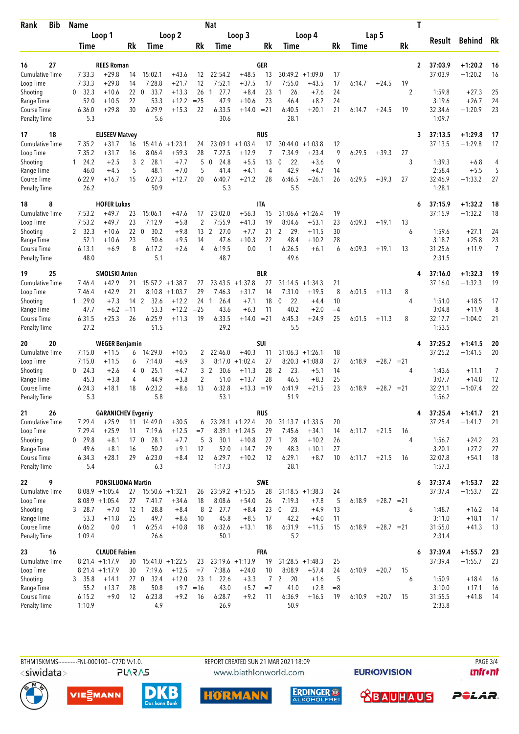| Rank<br>Bib                         | <b>Name</b>           |                           | Nat      |                             |                    |             |                        |                    |                |                      |                              |          | T           |              |    |                   |                      |                      |  |
|-------------------------------------|-----------------------|---------------------------|----------|-----------------------------|--------------------|-------------|------------------------|--------------------|----------------|----------------------|------------------------------|----------|-------------|--------------|----|-------------------|----------------------|----------------------|--|
|                                     |                       | Loop 1                    |          | Loop 2                      |                    |             | Loop 3                 |                    |                | Loop 4               |                              |          |             | Lap 5        |    |                   |                      |                      |  |
|                                     | <b>Time</b>           |                           | Rk       | Time                        |                    | Rk          | <b>Time</b>            |                    | Rk             | Time                 |                              | Rk       | <b>Time</b> |              | Rk | Result            | <b>Behind</b>        | Rk                   |  |
|                                     |                       |                           |          |                             |                    |             |                        |                    |                |                      |                              |          |             |              |    |                   |                      |                      |  |
| 27<br>16                            |                       | <b>REES Roman</b>         |          |                             |                    |             |                        |                    | GER            |                      |                              |          |             |              | 2  | 37:03.9           | $+1:20.2$            | 16                   |  |
| <b>Cumulative Time</b><br>Loop Time | 7:33.3<br>7:33.3      | $+29.8$<br>$+29.8$        | 14<br>14 | 15:02.1<br>7:28.8           | $+43.6$<br>$+21.7$ | 12<br>12    | 22:54.2<br>7:52.1      | $+48.5$<br>$+37.5$ | 13<br>17       | 7:55.0               | $30:49.2 +1:09.0$<br>$+43.5$ | 17<br>17 | 6:14.7      | $+24.5$      | 19 | 37:03.9           | $+1:20.2$            | 16                   |  |
| Shooting                            | 32.3<br>$\mathbf{0}$  | $+10.6$                   | 22       | $\mathbf 0$<br>33.7         | $+13.3$            | 26          | 27.7<br>$\mathbf{1}$   | $+8.4$             | 23             | 26.<br>1             | $+7.6$                       | 24       |             |              | 2  | 1:59.8            | $+27.3$              | 25                   |  |
| Range Time                          | 52.0                  | $+10.5$                   | 22       | 53.3                        | $+12.2$            | $=25$       | 47.9                   | $+10.6$            | 23             | 46.4                 | $+8.2$                       | 24       |             |              |    | 3:19.6            | $+26.7$              | 24                   |  |
| Course Time                         | 6:36.0                | $+29.8$                   | 30       | 6:29.9                      | $+15.3$            | 22          | 6:33.5                 | $+14.0$            | $= 21$         | 6:40.5               | $+20.1$                      | 21       | 6:14.7      | $+24.5$      | 19 | 32:34.6           | $+1:20.9$            | 23                   |  |
| <b>Penalty Time</b>                 | 5.3                   |                           |          | 5.6                         |                    |             | 30.6                   |                    |                | 28.1                 |                              |          |             |              |    | 1:09.7            |                      |                      |  |
| 18<br>17                            |                       | <b>ELISEEV Matvey</b>     |          |                             |                    |             |                        |                    | <b>RUS</b>     |                      |                              |          |             |              | 3  | 37:13.5           | $+1:29.8$            | 17                   |  |
| Cumulative Time                     | 7:35.2                | $+31.7$                   | 16       |                             | $15:41.6 + 1:23.1$ | 24          | 23:09.1                | $+1:03.4$          | 17             | 30:44.0              | $+1:03.8$                    | 12       |             |              |    | 37:13.5           | $+1:29.8$            | 17                   |  |
| Loop Time                           | 7:35.2                | $+31.7$                   | 16       | 8:06.4                      | $+59.3$            | 28          | 7:27.5                 | $+12.9$            | 7              | 7:34.9               | $+23.4$                      | 9        | 6:29.5      | $+39.3$      | 27 |                   |                      |                      |  |
| Shooting                            | 124.2                 | $+2.5$                    | 3        | 2<br>28.1                   | $+7.7$             | 5           | 24.8<br>0              | $+5.5$             | 13             | 0<br>22.             | $+3.6$                       | 9        |             |              | 3  | 1:39.3            | $+6.8$               | 4                    |  |
| Range Time                          | 46.0                  | $+4.5$                    | 5        | 48.1                        | $+7.0$             | 5           | 41.4                   | $+4.1$             | 4              | 42.9                 | $+4.7$                       | 14       |             |              |    | 2:58.4            | $+5.5$               | 5                    |  |
| Course Time                         | 6:22.9                | $+16.7$                   | 15       | 6:27.3                      | $+12.7$            | 20          | 6:40.7                 | $+21.2$            | 28             | 6:46.5               | $+26.1$                      | 26       | 6:29.5      | $+39.3$      | 27 | 32:46.9           | $+1:33.2$            | 27                   |  |
| <b>Penalty Time</b>                 | 26.2                  |                           |          | 50.9                        |                    |             | 5.3                    |                    |                | 5.5                  |                              |          |             |              |    | 1:28.1            |                      |                      |  |
| 8<br>18                             |                       | <b>HOFER Lukas</b>        |          |                             |                    |             |                        |                    | IΤA            |                      |                              |          |             |              | 6  | 37:15.9           | $+1:32.2$            | 18                   |  |
| <b>Cumulative Time</b>              | 7:53.2                | $+49.7$                   | 23       | 15:06.1                     | $+47.6$            | 17          | 23:02.0                | $+56.3$            | 15             | 31:06.6              | $+1:26.4$                    | 19       |             |              |    | 37:15.9           | $+1:32.2$            | 18                   |  |
| Loop Time                           | 7:53.2                | $+49.7$                   | 23       | 7:12.9                      | $+5.8$             | 2           | 7:55.9                 | $+41.3$            | 19             | 8:04.6               | $+53.1$                      | 23<br>30 | 6:09.3      | $+19.1$      | 13 |                   |                      |                      |  |
| Shooting                            | 2 32.3<br>52.1        | $+10.6$<br>$+10.6$        | 23       | 220<br>30.2<br>50.6         | $+9.8$<br>$+9.5$   | 13<br>14    | 2<br>27.0<br>47.6      | $+7.7$<br>$+10.3$  | 21<br>22       | 2<br>29.<br>48.4     | $+11.5$<br>$+10.2$           | 28       |             |              | 6  | 1:59.6<br>3:18.7  | $+27.1$<br>$+25.8$   | 24<br>23             |  |
| Range Time<br>Course Time           | 6:13.1                | $+6.9$                    | 8        | 6:17.2                      | $+2.6$             | 4           | 6:19.5                 | 0.0                | 1              | 6:26.5               | $+6.1$                       | 6        | 6:09.3      | $+19.1$      | 13 | 31:25.6           | $+11.9$              | $\overline{7}$       |  |
| <b>Penalty Time</b>                 | 48.0                  |                           |          | 5.1                         |                    |             | 48.7                   |                    |                | 49.6                 |                              |          |             |              |    | 2:31.5            |                      |                      |  |
| 25<br>19                            |                       | <b>SMOLSKI Anton</b>      |          |                             |                    |             |                        |                    | <b>BLR</b>     |                      |                              |          |             |              | 4  | 37:16.0           | $+1:32.3$            | 19                   |  |
| Cumulative Time                     | 7:46.4                | $+42.9$                   | 21       |                             | $15:57.2 + 1:38.7$ | 27          |                        | $23:43.5 +1:37.8$  | 27             |                      | $31:14.5 + 1:34.3$           | 21       |             |              |    | 37:16.0           | $+1:32.3$            | 19                   |  |
| Loop Time                           | 7:46.4                | $+42.9$                   | 21       | 8:10.8                      | $+1:03.7$          | 29          | 7:46.3                 | $+31.7$            | 14             | 7:31.0               | $+19.5$                      | 8        | 6:01.5      | $+11.3$      | 8  |                   |                      |                      |  |
| Shooting                            | 129.0                 | $+7.3$                    | 14       | 2<br>32.6                   | $+12.2$            | 24          | $\mathbf{1}$<br>26.4   | $+7.1$             | 18             | 22.<br>0             | $+4.4$                       | 10       |             |              | 4  | 1:51.0            | $+18.5$              | 17                   |  |
| Range Time                          | 47.7                  | $+6.2$                    | $=11$    | 53.3                        | $+12.2$            | $= 25$      | 43.6                   | $+6.3$             | 11             | 40.2                 | $+2.0$                       | $=4$     |             |              |    | 3:04.8            | $+11.9$              | 8                    |  |
| Course Time                         | 6:31.5                | $+25.3$                   | 26       | 6:25.9                      | $+11.3$            | 19          | 6:33.5                 | $+14.0$            | $= 21$         | 6:45.3               | $+24.9$                      | 25       | 6:01.5      | $+11.3$      | 8  | 32:17.7           | $+1:04.0$            | 21                   |  |
| <b>Penalty Time</b>                 | 27.2                  |                           |          | 51.5                        |                    |             | 29.2                   |                    |                | 5.5                  |                              |          |             |              |    | 1:53.5            |                      |                      |  |
| 20<br>20                            |                       | <b>WEGER Benjamin</b>     |          |                             |                    |             |                        |                    | <b>SUI</b>     |                      |                              |          |             |              | 4  | 37:25.2           | $+1:41.5$            | 20                   |  |
| Cumulative Time                     | 7:15.0                | $+11.5$                   | 6        | 14:29.0                     | $+10.5$            | 2           | 22:46.0                | $+40.3$            | 11             |                      | $31:06.3 +1:26.1$            | 18       |             |              |    | 37:25.2           | $+1:41.5$            | 20                   |  |
| Loop Time                           | 7:15.0                | $+11.5$                   | 6        | 7:14.0                      | $+6.9$             | 3           | 8:17.0                 | $+1:02.4$          | 27             |                      | $8:20.3 +1:08.8$             | 27       | 6:18.9      | $+28.7 = 21$ |    |                   |                      |                      |  |
| Shooting                            | $0\quad 24.3$<br>45.3 | $+2.6$<br>$+3.8$          | 4<br>4   | 25.1<br>$\mathbf 0$<br>44.9 | $+4.7$<br>$+3.8$   | 3<br>2      | 2<br>30.6<br>51.0      | $+11.3$<br>$+13.7$ | 28<br>28       | 2<br>23.<br>46.5     | $+5.1$<br>$+8.3$             | 14<br>25 |             |              | 4  | 1:43.6<br>3:07.7  | $+11.1$              | $\overline{7}$<br>12 |  |
| Range Time<br>Course Time           | 6:24.3                | $+18.1$                   | 18       | 6:23.2                      | $+8.6$             | 13          | 6:32.8                 | +13.3              | $=19$          | 6:41.9               | $+21.5$                      | 23       | 6:18.9      | $+28.7 = 21$ |    | 32:21.1           | $+14.8$<br>$+1:07.4$ | 22                   |  |
| <b>Penalty Time</b>                 | 5.3                   |                           |          | 5.8                         |                    |             | 53.1                   |                    |                | 51.9                 |                              |          |             |              |    | 1:56.2            |                      |                      |  |
| 26<br>21                            |                       | <b>GARANICHEV Evgeniy</b> |          |                             |                    |             |                        |                    | <b>RUS</b>     |                      |                              |          |             |              | 4  | 37:25.4           | $+1:41.7$            | 21                   |  |
| <b>Cumulative Time</b>              | 7:29.4                | $+25.9$                   | 11       | 14:49.0                     | $+30.5$            | 6           |                        | $23:28.1 + 1:22.4$ | 20             |                      | $31:13.7 + 1:33.5$           | 20       |             |              |    | 37:25.4           | $+1:41.7$            | 21                   |  |
| Loop Time                           | 7:29.4                | $+25.9$                   | 11       | 7:19.6                      | $+12.5$            | $=7$        |                        | $8:39.1 + 1:24.5$  | 29             | 7:45.6               | $+34.1$                      | 14       | 6:11.7      | $+21.5$      | 16 |                   |                      |                      |  |
| Shooting                            | $0$ 29.8              | $+8.1$                    |          | 17 0 28.1                   | $+7.7$             |             | 5 <sub>3</sub><br>30.1 | $+10.8$            |                | 28.<br>27 1          | $+10.2$                      | 26       |             |              | 4  | 1:56.7            | $+24.2$              | 23                   |  |
| Range Time                          | 49.6                  | $+8.1$                    | 16       | 50.2                        | $+9.1$             | 12          | 52.0                   | $+14.7$            | 29             | 48.3                 | $+10.1$                      | 27       |             |              |    | 3:20.1            | $+27.2$              | 27                   |  |
| Course Time                         | 6:34.3                | $+28.1$                   | 29       | 6:23.0                      | $+8.4$             | 12          | 6:29.7                 | $+10.2$            | 12             | 6:29.1               | $+8.7$                       | 10       | 6:11.7      | $+21.5$      | 16 | 32:07.8           | $+54.1$              | 18                   |  |
| <b>Penalty Time</b>                 | 5.4                   |                           |          | 6.3                         |                    |             | 1:17.3                 |                    |                | 28.1                 |                              |          |             |              |    | 1:57.3            |                      |                      |  |
| 22<br>9                             |                       | <b>PONSILUOMA Martin</b>  |          |                             |                    |             |                        |                    | SWE            |                      |                              |          |             |              | 6  | 37:37.4           | $+1:53.7$            | 22                   |  |
| Cumulative Time                     |                       | $8:08.9 +1:05.4$          |          | $27$ 15:50.6 +1:32.1        |                    | 26          |                        | $23:59.2 +1:53.5$  | 28             |                      | $31:18.5 + 1:38.3$           | 24       |             |              |    | 37:37.4           | $+1:53.7$            | 22                   |  |
| Loop Time                           |                       | $8:08.9 +1:05.4$          | 27       | 7:41.7                      | $+34.6$            | 18          | 8:08.6                 | $+54.0$            | 26             | 7:19.3               | $+7.8$                       | 5        | 6:18.9      | $+28.7 = 21$ |    |                   |                      |                      |  |
| Shooting                            | 3 28.7                | $+7.0$                    | 12 1     | 28.8                        | $+8.4$             |             | 8 2 27.7               | $+8.4$             | 23             | 23.<br>$\mathbf{0}$  | $+4.9$                       | 13       |             |              | 6  | 1:48.7            | $+16.2$              | 14                   |  |
| Range Time<br>Course Time           | 53.3<br>6:06.2        | $+11.8$<br>0.0            | 25<br>1  | 49.7<br>6:25.4              | $+8.6$<br>$+10.8$  | 10<br>18    | 45.8<br>6:32.6         | $+8.5$<br>$+13.1$  | 17<br>18       | 42.2<br>6:31.9       | $+4.0$<br>$+11.5$            | 11<br>15 | 6:18.9      | $+28.7 = 21$ |    | 3:11.0<br>31:55.0 | $+18.1$<br>$+41.3$   | 17<br>13             |  |
| <b>Penalty Time</b>                 | 1:09.4                |                           |          | 26.6                        |                    |             | 50.1                   |                    |                | 5.2                  |                              |          |             |              |    | 2:31.4            |                      |                      |  |
| 23<br>16                            |                       | <b>CLAUDE Fabien</b>      |          |                             |                    |             |                        |                    | <b>FRA</b>     |                      |                              |          |             |              | 6  | 37:39.4           | $+1:55.7$            | 23                   |  |
| Cumulative Time                     |                       | $8:21.4 +1:17.9$          | 30       |                             | $15:41.0 + 1:22.5$ | 23          |                        | $23:19.6 +1:13.9$  |                | $19$ 31:28.5 +1:48.3 |                              | 25       |             |              |    | 37:39.4           | $+1:55.7$            | 23                   |  |
| Loop Time                           |                       | $8:21.4 +1:17.9$          | 30       | 7:19.6                      | $+12.5$            | $=7$        | 7:38.6                 | $+24.0$            | 10             | 8:08.9               | $+57.4$                      | 24       | 6:10.9      | $+20.7$      | 15 |                   |                      |                      |  |
| Shooting                            | 3, 35.8               | $+14.1$                   |          | 27 <sub>0</sub><br>32.4     | $+12.0$            |             | 23 1<br>22.6           | $+3.3$             | $\overline{7}$ | 20.<br>2             | $+1.6$                       | 5        |             |              | 6  | 1:50.9            | $+18.4$              | 16                   |  |
| Range Time                          | 55.2                  | $+13.7$                   | 28       | 50.8                        |                    | $+9.7 = 16$ | 43.0                   | $+5.7$             | $=7$           | 41.0                 | $+2.8$                       | $=8$     |             |              |    | 3:10.0            | $+17.1$              | 16                   |  |
| Course Time                         | 6:15.2                | $+9.0$                    | 12       | 6:23.8                      | $+9.2$             | 16          | 6:28.7                 | $+9.2$             | 11             | 6:36.9               | $+16.5$                      | 19       | 6:10.9      | $+20.7$      | 15 | 31:55.5           | $+41.8$              | 14                   |  |
| <b>Penalty Time</b>                 | 1:10.9                |                           |          | 4.9                         |                    |             | 26.9                   |                    |                | 50.9                 |                              |          |             |              |    | 2:33.8            |                      |                      |  |



www.biathlonworld.com

**EURIOVISION** 

*<u><u>Infront</u>*</u>